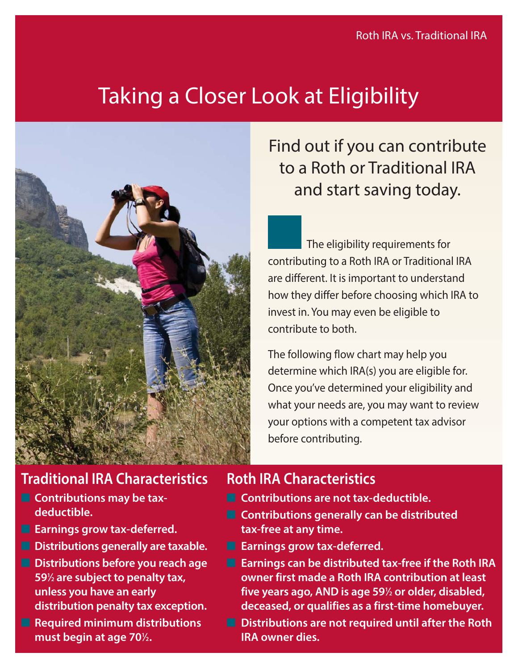# Taking a Closer Look at Eligibility



### **Traditional IRA Characteristics**

- **Contributions may be taxdeductible.**
- **Earnings grow tax-deferred.**
- **Distributions generally are taxable.**
- **Distributions before you reach age 591 ⁄2 are subject to penalty tax, unless you have an early distribution penalty tax exception.**
- **Required minimum distributions** must begin at age 70<sup>1</sup>/<sub>2</sub>.

## Find out if you can contribute to a Roth or Traditional IRA and start saving today.

The eligibility requirements for contributing to a Roth IRA or Traditional IRA are different. It is important to understand how they differ before choosing which IRA to invest in. You may even be eligible to contribute to both.

The following flow chart may help you determine which IRA(s) you are eligible for. Once you've determined your eligibility and what your needs are, you may want to review your options with a competent tax advisor before contributing.

#### **Roth IRA Characteristics**

- **Contributions are not tax-deductible.**
- **Contributions generally can be distributed tax-free at any time.**
- **Earnings grow tax-deferred.**
- **Earnings can be distributed tax-free if the Roth IRA owner first made a Roth IRA contribution at least five years ago, AND is age 591 ⁄2 or older, disabled, deceased, or qualifies as a first-time homebuyer.**
- Distributions are not required until after the Roth **IRA owner dies.**